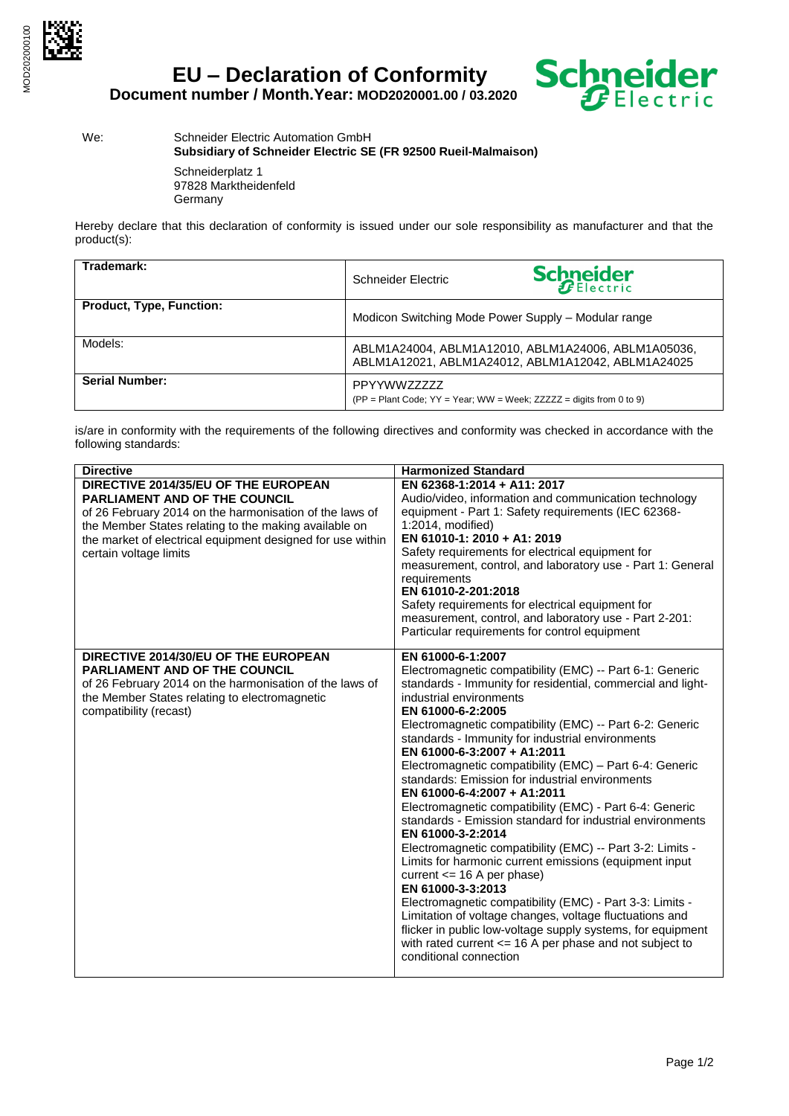

**EU – Declaration of Conformity**



We: Schneider Electric Automation GmbH **Subsidiary of Schneider Electric SE (FR 92500 Rueil-Malmaison)**

> Schneiderplatz 1 97828 Marktheidenfeld Germany

Hereby declare that this declaration of conformity is issued under our sole responsibility as manufacturer and that the product(s):

| Trademark:                      | Schneider Electric                                                                                        | <b>Schneider</b>                                                    |
|---------------------------------|-----------------------------------------------------------------------------------------------------------|---------------------------------------------------------------------|
| <b>Product, Type, Function:</b> | Modicon Switching Mode Power Supply - Modular range                                                       |                                                                     |
| Models:                         | ABLM1A24004, ABLM1A12010, ABLM1A24006, ABLM1A05036,<br>ABLM1A12021, ABLM1A24012, ABLM1A12042, ABLM1A24025 |                                                                     |
| <b>Serial Number:</b>           | <b>PPYYWWZZZZZZ</b>                                                                                       | (PP = Plant Code; YY = Year; WW = Week; ZZZZZ = digits from 0 to 9) |

is/are in conformity with the requirements of the following directives and conformity was checked in accordance with the following standards:

| <b>Directive</b>                                                                                                                                                                                                                                                                         | <b>Harmonized Standard</b>                                                                                                                                                                                                                                                                                                                                                                                                                                                                                                                                                                                                                                                                                                                                                                                                                                                                                                                                                                                                                                                                        |
|------------------------------------------------------------------------------------------------------------------------------------------------------------------------------------------------------------------------------------------------------------------------------------------|---------------------------------------------------------------------------------------------------------------------------------------------------------------------------------------------------------------------------------------------------------------------------------------------------------------------------------------------------------------------------------------------------------------------------------------------------------------------------------------------------------------------------------------------------------------------------------------------------------------------------------------------------------------------------------------------------------------------------------------------------------------------------------------------------------------------------------------------------------------------------------------------------------------------------------------------------------------------------------------------------------------------------------------------------------------------------------------------------|
| DIRECTIVE 2014/35/EU OF THE EUROPEAN<br><b>PARLIAMENT AND OF THE COUNCIL</b><br>of 26 February 2014 on the harmonisation of the laws of<br>the Member States relating to the making available on<br>the market of electrical equipment designed for use within<br>certain voltage limits | EN 62368-1:2014 + A11: 2017<br>Audio/video, information and communication technology<br>equipment - Part 1: Safety requirements (IEC 62368-<br>1:2014, modified)<br>EN 61010-1: 2010 + A1: 2019<br>Safety requirements for electrical equipment for<br>measurement, control, and laboratory use - Part 1: General<br>requirements<br>EN 61010-2-201:2018<br>Safety requirements for electrical equipment for<br>measurement, control, and laboratory use - Part 2-201:<br>Particular requirements for control equipment                                                                                                                                                                                                                                                                                                                                                                                                                                                                                                                                                                           |
| DIRECTIVE 2014/30/EU OF THE EUROPEAN<br><b>PARLIAMENT AND OF THE COUNCIL</b><br>of 26 February 2014 on the harmonisation of the laws of<br>the Member States relating to electromagnetic<br>compatibility (recast)                                                                       | EN 61000-6-1:2007<br>Electromagnetic compatibility (EMC) -- Part 6-1: Generic<br>standards - Immunity for residential, commercial and light-<br>industrial environments<br>EN 61000-6-2:2005<br>Electromagnetic compatibility (EMC) -- Part 6-2: Generic<br>standards - Immunity for industrial environments<br>EN 61000-6-3:2007 + A1:2011<br>Electromagnetic compatibility (EMC) - Part 6-4: Generic<br>standards: Emission for industrial environments<br>EN 61000-6-4:2007 + A1:2011<br>Electromagnetic compatibility (EMC) - Part 6-4: Generic<br>standards - Emission standard for industrial environments<br>EN 61000-3-2:2014<br>Electromagnetic compatibility (EMC) -- Part 3-2: Limits -<br>Limits for harmonic current emissions (equipment input<br>current $\leq$ 16 A per phase)<br>EN 61000-3-3:2013<br>Electromagnetic compatibility (EMC) - Part 3-3: Limits -<br>Limitation of voltage changes, voltage fluctuations and<br>flicker in public low-voltage supply systems, for equipment<br>with rated current $\le$ 16 A per phase and not subject to<br>conditional connection |